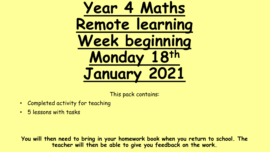**Year 4 Maths Remote learning Week beginning Monday 18th January 2021**

This pack contains:

- Completed activity for teaching
- 5 lessons with tasks

**You will then need to bring in your homework book when you return to school. The teacher will then be able to give you feedback on the work.**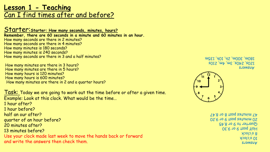# **Lesson 1 - Teaching** Can I find times after and before?

Starter: Starter: How many seconds, minutes, hours? **Remember, there are 60 seconds in a minute and 60 minutes in an hour.**  How many seconds are there in 2 minutes? How many seconds are there in 4 minutes? How many minutes is 180 seconds? How many minutes is 240 seconds? How many seconds are there in 3 and a half minutes?

How many minutes are there in 3 hours? How many minutes are there in 5 hours? How many hours is 120 minutes? How many hours is 600 minutes? How many minutes are there in 2 and a quarter hours?

Task: Today we are going to work out the time before or after a given time. Example: Look at this clock. What would be the time…

- 1 hour after?
- 1 hour before?
- half an our after?
- quarter of an hour before?
- 20 minutes after?
- 13 minutes before?
- Use your clock made last week to move the hands back or forward and write the answers then check them.

**SJAMSUP** 120s, 240s, 3m, 4m, 210s 180m, 300m, 2h, 10h, 135m



**SJAMSUP** 10 o'clock 8 o'clock Half past 9 or 9.30 Quarter to 9 or 8.45 20 minutes past 9 or 9.20  $T<sub>2</sub>$ .8 no 8 tenq estunim  $T<sub>1</sub>$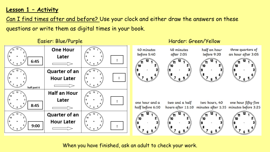#### **Lesson 1 – Activity**

Can I find times after and before? Use your clock and either draw the answers on these questions or write them as digital times in your book.

#### Easier: Blue/Purple Harder: Green/Yellow Harder: Green/Yellow



When you have finished, ask an adult to check your work.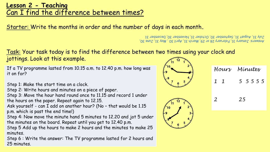# **Lesson 2 - Teaching** Can I find the difference between times?

Starter: Write the months in order and the number of days in each month**.**

Answers: January 31, February 28 or 29, March 31, April 30, May 31, June 30, July 31, August 31, September 30, October 31, November 30, December 31

#### Task: Your task today is to find the difference between two times using your clock and jottings. Look at this example.

If a TV programme lasted from 10.15 a.m. to 12.40 p.m. how long was it on for?

Step 1: Make the start time on a clock.

Step 2: Write hours and minutes on a piece of paper.

Step 3: Move the hour hand round once to 11.15 and record 1 under the hours on the paper. Repeat again to 12.15.

Ask yourself - can I add on another hour? (No – that would be 1.15 p.m. which is past the end time!)

Step 4: Now move the minute hand 5 minutes to 12.20 and jot 5 under the minutes on the board. Repeat until you get to 12.40 p.m.

Step 5 Add up the hours to make 2 hours and the minutes to make 25 minutes.

Step 6 : Write the answer: The TV programme lasted for 2 hours and 25 minutes.

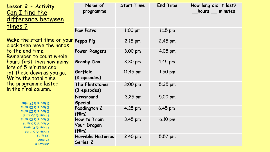| <u>Lesson 2 - Activity</u><br>Can I find the<br>difference between                                                                                                                                                                                                                                                                                                                                                                                                                                                                                                                                                                              | Name of<br>programme                  | <b>Start Time</b> | <b>End Time</b>   | How long did it last?<br>_hours __ minutes |
|-------------------------------------------------------------------------------------------------------------------------------------------------------------------------------------------------------------------------------------------------------------------------------------------------------------------------------------------------------------------------------------------------------------------------------------------------------------------------------------------------------------------------------------------------------------------------------------------------------------------------------------------------|---------------------------------------|-------------------|-------------------|--------------------------------------------|
| <u>times ?</u>                                                                                                                                                                                                                                                                                                                                                                                                                                                                                                                                                                                                                                  | <b>Paw Patrol</b>                     | $1:00$ pm         | $1:15$ pm         |                                            |
| Make the start time on your Peppa Pig<br>clock then move the hands<br>to the end time.<br><u>Remember to count whole</u><br>hours first then how many<br>lots of 5 minutes and<br>jot these down as you go.<br>Write the total time<br>the programme lasted<br>in the final column.<br>$\mathsf{S}\mathsf{u}$ $\mathsf{u}\mathsf{u}$ $\mathsf{v}\mathsf{v}$ $\mathsf{v}\mathsf{u}$ $\mathsf{v}\mathsf{u}$ $\mathsf{v}\mathsf{v}$<br>2 hours & 25 mins<br>2 hours & 20 mins<br>1 hour & 35 mins<br>2 hours & 25 mins<br>Suim G & Sunoy S<br><b>SUILL GI &amp; THOM I</b><br><b>Suill G &amp; JIOU I</b><br><b>Suim OE</b><br>suiw GI<br>Answers: |                                       | $2:15$ pm         | $2.45$ pm         |                                            |
|                                                                                                                                                                                                                                                                                                                                                                                                                                                                                                                                                                                                                                                 | <b>Power Rangers</b>                  | 3.00 pm           | $4.05$ pm         |                                            |
|                                                                                                                                                                                                                                                                                                                                                                                                                                                                                                                                                                                                                                                 | Scooby Doo                            | 3.30 pm           | $4.45 \text{ pm}$ |                                            |
|                                                                                                                                                                                                                                                                                                                                                                                                                                                                                                                                                                                                                                                 | Garfield<br>(2 episodes)              | 11.45 pm          | 1.50 pm           |                                            |
|                                                                                                                                                                                                                                                                                                                                                                                                                                                                                                                                                                                                                                                 | The Flintstones<br>(3 episodes)       | $3:00 \text{ pm}$ | $5:25$ pm         |                                            |
|                                                                                                                                                                                                                                                                                                                                                                                                                                                                                                                                                                                                                                                 | Newsround<br>Special                  | 3.25 pm           | 5.00 pm           |                                            |
|                                                                                                                                                                                                                                                                                                                                                                                                                                                                                                                                                                                                                                                 | Paddington 2<br>(film)                | 4.25 pm           | $6.45 \text{ pm}$ |                                            |
|                                                                                                                                                                                                                                                                                                                                                                                                                                                                                                                                                                                                                                                 | How to Train<br>Your Dragon<br>(film) | 3.45 pm           | $6.10 \text{ pm}$ |                                            |
|                                                                                                                                                                                                                                                                                                                                                                                                                                                                                                                                                                                                                                                 | Horrible Histories<br>Series 2        | 2.40 pm           | 5:57 pm           |                                            |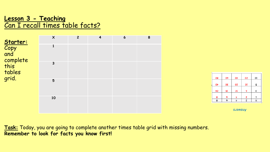# **Lesson 3 - Teaching** Can I recall times table facts?

ar

|                                                                       | $\boldsymbol{\mathsf{X}}$ | $\overline{2}$ | $\overline{\mathbf{4}}$ | $6\overline{6}$ | 8 |                            |                |
|-----------------------------------------------------------------------|---------------------------|----------------|-------------------------|-----------------|---|----------------------------|----------------|
| <b>Starter:</b><br>Copy<br>and<br>complete<br>this<br>tables<br>grid. |                           |                |                         |                 |   |                            |                |
|                                                                       | $\mathbf{3}$              |                |                         |                 |   |                            |                |
|                                                                       | $5\phantom{1}$            |                |                         |                 |   | 08<br>O <sub>1</sub><br>24 | 09<br>Oε<br>81 |
|                                                                       | 10                        |                |                         |                 |   | 8<br>8                     | 9<br>9         |

**SJ**awsuy

OÞ

so

15

t

 $\mathbf{\overline{v}}$ 

20

OI

-9

3

3

ОΙ

G

ε

L

 $\times$ 

**Task:** Today, you are going to complete another times table grid with missing numbers. **Remember to look for facts you know first!**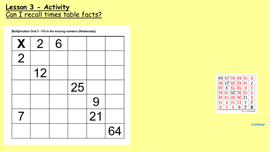# **Lesson 3 - Activity** Can I recall times table facts?

Multiplication Grid 5 - Fill in the missing numbers (Wednesday)

| X              | $\overline{2}$ | 6 |    |    |    |
|----------------|----------------|---|----|----|----|
| $\overline{2}$ |                |   |    |    |    |
|                | 12             |   |    |    |    |
|                |                |   | 25 |    |    |
|                |                |   |    | 9  |    |
| 7              |                |   |    | 21 |    |
|                |                |   |    |    | 64 |



Answers: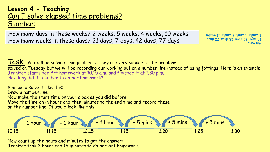### **Lesson 4 - Teaching** Can I solve elapsed time problems? Starter:

How many days in these weeks? 2 weeks, 5 weeks, 4 weeks, 10 weeks 3 weeks, 1 week, 6 weeks, 11 weeks How many weeks in these days? 21 days, 7 days, 42 days, 77 days

**SJ<sub>3</sub>MSUP**  $14$  days, 35 days, 28 days, 70 days

 $Task:$  You will be solving time problems. They are very similar to the problems solved on Tuesday but we will be recording our working out on a number line instead of using jottings. Here is an example: Jennifer starts her Art homework at 10.15 a.m. and finished it at 1.30 p.m. How long did it take her to do her homework?

You could solve it like this: Draw a number line. Now make the start time on your clock as you did before. Move the time on in hours and then minutes to the end time and record these on the number line. It would look like this:



Now count up the hours and minutes to get the answer: Jennifer took 3 hours and 15 minutes to do her Art homework.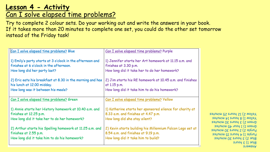# **Lesson 4 - Activity** Can I solve elapsed time problems?

Try to complete 2 colour sets. Do your working out and write the answers in your book. If it takes more than 20 minutes to complete one set, you could do the other set tomorrow instead of the Friday task!

| Can I solve elapsed time problems? Purple                                                                                               |
|-----------------------------------------------------------------------------------------------------------------------------------------|
| 1) Jennifer starts her Art homework at 11.15 a.m. and<br>finishes at 3.30 p.m.<br>How long did it take her to do her homework?          |
| 2) Jim starts his RE homework at 10.45 a.m. and finishes<br>at 1.15 p.m.<br>How long did it take him to do his homework?                |
| Can I solve elapsed time problems? Yellow                                                                                               |
| 1) Katherine starts her sponsored silence for charity at<br>8.33 a.m. and finishes at 4.47 p.m.<br>How long did she stay silent?        |
| 2) Kevin starts building his Millennium Falcon Lego set at<br>8.54 a.m. and finishes at 9.19 p.m.<br>How long did it take him to build? |
|                                                                                                                                         |

**SJ**<br>
SMSUP  $S$ unoy  $\mathcal{E}$  (I anjg Blue 2) 3 hours 30 minutes Purple 1) 4 hours 15 minutes Purple 2) 2 hours 30 minutes Green 1) 1 hour 45 minutes Green 2) 3 hours 30 minutes Yellow 1) 8 hours 14 minutes Yellow 2) 12 hours 25 minutes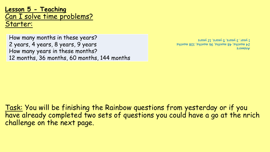### **Lesson 5 - Teaching** Can I solve time problems? Starter:

How many months in these years? 1 1 years, 12 years, 12 years, 12 years, 12 years, 12 years, 12 years, 12 years, 12 years, 12 years, 12 years, 12 years, 12 years, 12 years, 12 years, 12 years, 12 years, 12 years, 12 years, 2 years, 4 years, 8 years, 9 years How many years in these months? 12 months, 36 months, 60 months, 144 months

Answers  $24$  suttings,  $20$  months,  $26$  months,  $26$  months,  $26$  months,  $26$  months,  $26$  monomings,  $26$ 

Task: You will be finishing the Rainbow questions from yesterday or if you have already completed two sets of questions you could have a go at the nrich challenge on the next page.